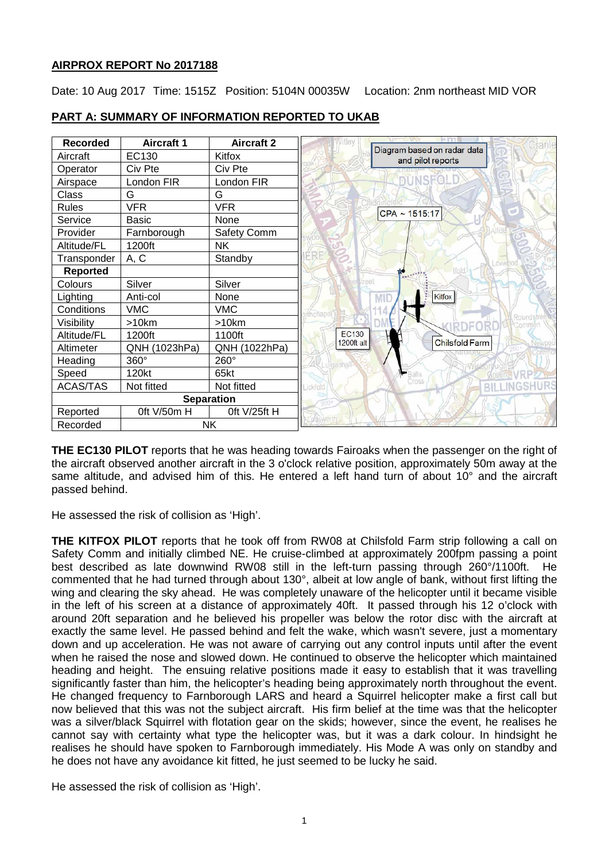## **AIRPROX REPORT No 2017188**

Date: 10 Aug 2017 Time: 1515Z Position: 5104N 00035W Location: 2nm northeast MID VOR

| <b>Recorded</b>       | <b>Aircraft 1</b> | <b>Aircraft 2</b> |            |         | Cranle                                           |
|-----------------------|-------------------|-------------------|------------|---------|--------------------------------------------------|
| Aircraft              | EC130             | Kitfox            |            |         | Diagram based on radar data<br>and pilot reports |
| Operator              | Civ Pte           | Civ Pte           |            |         |                                                  |
| Airspace              | London FIR        | London FIR        |            |         |                                                  |
| Class                 | G                 | G                 |            |         |                                                  |
| <b>Rules</b>          | <b>VFR</b>        | <b>VFR</b>        |            |         | $CPA \sim 1515:17$                               |
| Service               | <b>Basic</b>      | None              |            |         |                                                  |
| Provider              | Farnborough       | Safety Comm       |            |         |                                                  |
| Altitude/FL           | 1200ft            | <b>NK</b>         |            |         |                                                  |
| Transponder           | A, C              | Standby           | ÉRE        |         | CXWBC                                            |
| Reported              |                   |                   |            | Taxana. | Ifold                                            |
| Colours               | Silver            | Silver            | her treet  |         |                                                  |
| Lighting              | Anti-col          | None              |            | MID     | Kitfox                                           |
| Conditions            | <b>VMC</b>        | <b>VMC</b>        |            |         |                                                  |
| Visibility            | $>10$ km          | >10km             |            |         | Roundst                                          |
| Altitude/FL           | 1200ft            | 1100ft            | EC130      |         |                                                  |
| Altimeter             | QNH (1023hPa)     | QNH (1022hPa)     | 1200ft alt |         | Chilsfold Farm                                   |
| Heading               | 360°              | 260°              |            |         |                                                  |
| Speed                 | 120kt             | 65kt              |            |         | alls                                             |
| ACAS/TAS              | Not fitted        | Not fitted        | Lickfold   |         | Cross                                            |
| <b>Separation</b>     |                   |                   |            |         |                                                  |
| Reported              | 0ft V/50m H       | Oft V/25ft H      |            |         |                                                  |
| <b>NK</b><br>Recorded |                   |                   |            |         |                                                  |

# **PART A: SUMMARY OF INFORMATION REPORTED TO UKAB**

**THE EC130 PILOT** reports that he was heading towards Fairoaks when the passenger on the right of the aircraft observed another aircraft in the 3 o'clock relative position, approximately 50m away at the same altitude, and advised him of this. He entered a left hand turn of about 10° and the aircraft passed behind.

He assessed the risk of collision as 'High'.

**THE KITFOX PILOT** reports that he took off from RW08 at Chilsfold Farm strip following a call on Safety Comm and initially climbed NE. He cruise-climbed at approximately 200fpm passing a point best described as late downwind RW08 still in the left-turn passing through 260°/1100ft. He commented that he had turned through about 130°, albeit at low angle of bank, without first lifting the wing and clearing the sky ahead. He was completely unaware of the helicopter until it became visible in the left of his screen at a distance of approximately 40ft. It passed through his 12 o'clock with around 20ft separation and he believed his propeller was below the rotor disc with the aircraft at exactly the same level. He passed behind and felt the wake, which wasn't severe, just a momentary down and up acceleration. He was not aware of carrying out any control inputs until after the event when he raised the nose and slowed down. He continued to observe the helicopter which maintained heading and height. The ensuing relative positions made it easy to establish that it was travelling significantly faster than him, the helicopter's heading being approximately north throughout the event. He changed frequency to Farnborough LARS and heard a Squirrel helicopter make a first call but now believed that this was not the subject aircraft. His firm belief at the time was that the helicopter was a silver/black Squirrel with flotation gear on the skids; however, since the event, he realises he cannot say with certainty what type the helicopter was, but it was a dark colour. In hindsight he realises he should have spoken to Farnborough immediately. His Mode A was only on standby and he does not have any avoidance kit fitted, he just seemed to be lucky he said.

He assessed the risk of collision as 'High'.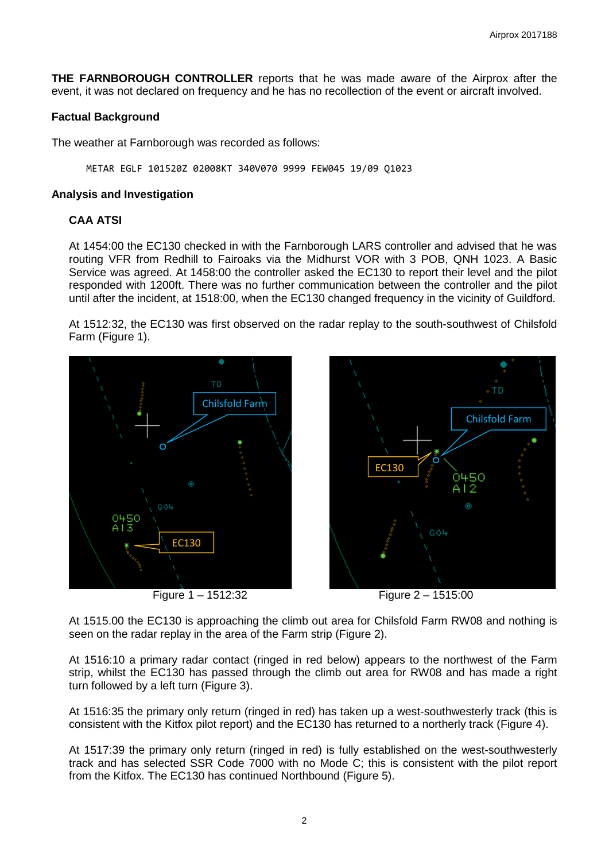**THE FARNBOROUGH CONTROLLER** reports that he was made aware of the Airprox after the event, it was not declared on frequency and he has no recollection of the event or aircraft involved.

## **Factual Background**

The weather at Farnborough was recorded as follows:

METAR EGLF 101520Z 02008KT 340V070 9999 FEW045 19/09 Q1023

### **Analysis and Investigation**

## **CAA ATSI**

At 1454:00 the EC130 checked in with the Farnborough LARS controller and advised that he was routing VFR from Redhill to Fairoaks via the Midhurst VOR with 3 POB, QNH 1023. A Basic Service was agreed. At 1458:00 the controller asked the EC130 to report their level and the pilot responded with 1200ft. There was no further communication between the controller and the pilot until after the incident, at 1518:00, when the EC130 changed frequency in the vicinity of Guildford.

At 1512:32, the EC130 was first observed on the radar replay to the south-southwest of Chilsfold Farm (Figure 1).



Figure 1 – 1512:32 Figure 2 – 1515:00





At 1515.00 the EC130 is approaching the climb out area for Chilsfold Farm RW08 and nothing is seen on the radar replay in the area of the Farm strip (Figure 2).

At 1516:10 a primary radar contact (ringed in red below) appears to the northwest of the Farm strip, whilst the EC130 has passed through the climb out area for RW08 and has made a right turn followed by a left turn (Figure 3).

At 1516:35 the primary only return (ringed in red) has taken up a west-southwesterly track (this is consistent with the Kitfox pilot report) and the EC130 has returned to a northerly track (Figure 4).

At 1517:39 the primary only return (ringed in red) is fully established on the west-southwesterly track and has selected SSR Code 7000 with no Mode C; this is consistent with the pilot report from the Kitfox. The EC130 has continued Northbound (Figure 5).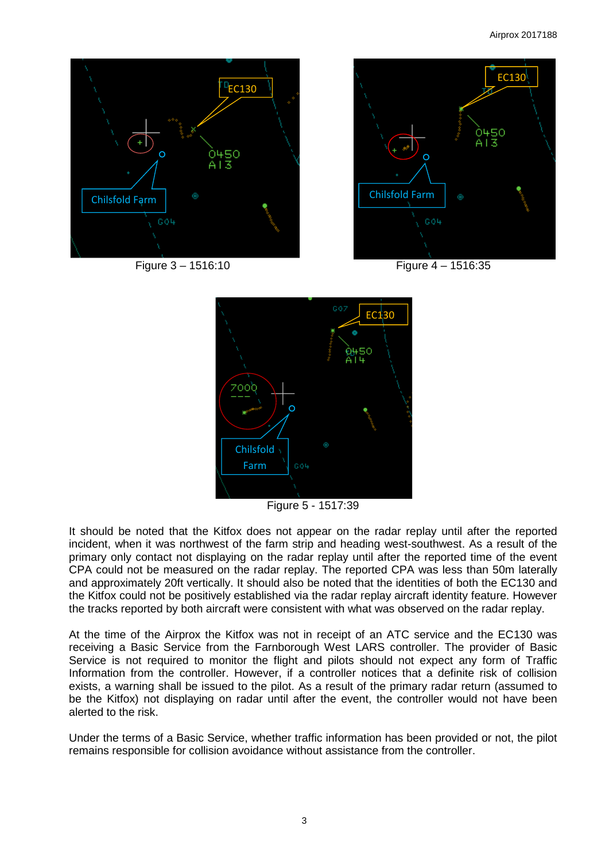

Figure 3 – 1516:10 Figure 4 – 1516:35





Figure 5 - 1517:39

It should be noted that the Kitfox does not appear on the radar replay until after the reported incident, when it was northwest of the farm strip and heading west-southwest. As a result of the primary only contact not displaying on the radar replay until after the reported time of the event CPA could not be measured on the radar replay. The reported CPA was less than 50m laterally and approximately 20ft vertically. It should also be noted that the identities of both the EC130 and the Kitfox could not be positively established via the radar replay aircraft identity feature. However the tracks reported by both aircraft were consistent with what was observed on the radar replay.

At the time of the Airprox the Kitfox was not in receipt of an ATC service and the EC130 was receiving a Basic Service from the Farnborough West LARS controller. The provider of Basic Service is not required to monitor the flight and pilots should not expect any form of Traffic Information from the controller. However, if a controller notices that a definite risk of collision exists, a warning shall be issued to the pilot. As a result of the primary radar return (assumed to be the Kitfox) not displaying on radar until after the event, the controller would not have been alerted to the risk.

Under the terms of a Basic Service, whether traffic information has been provided or not, the pilot remains responsible for collision avoidance without assistance from the controller.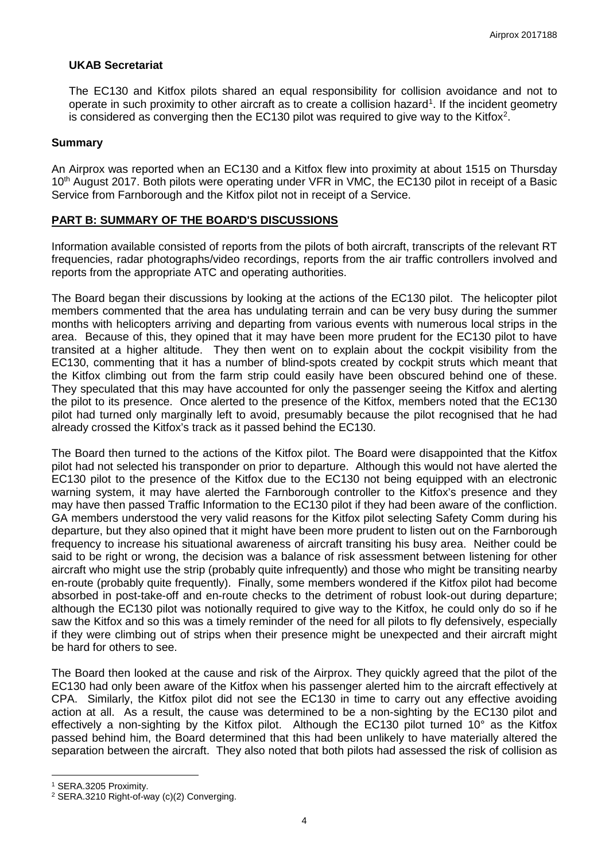### **UKAB Secretariat**

The EC130 and Kitfox pilots shared an equal responsibility for collision avoidance and not to operate in such proximity to other aircraft as to create a collision hazard<sup>[1](#page-3-0)</sup>. If the incident geometry is considered as converging then the EC130 pilot was required to give way to the Kitfox<sup>[2](#page-3-1)</sup>.

### **Summary**

An Airprox was reported when an EC130 and a Kitfox flew into proximity at about 1515 on Thursday 10<sup>th</sup> August 2017. Both pilots were operating under VFR in VMC, the EC130 pilot in receipt of a Basic Service from Farnborough and the Kitfox pilot not in receipt of a Service.

### **PART B: SUMMARY OF THE BOARD'S DISCUSSIONS**

Information available consisted of reports from the pilots of both aircraft, transcripts of the relevant RT frequencies, radar photographs/video recordings, reports from the air traffic controllers involved and reports from the appropriate ATC and operating authorities.

The Board began their discussions by looking at the actions of the EC130 pilot. The helicopter pilot members commented that the area has undulating terrain and can be very busy during the summer months with helicopters arriving and departing from various events with numerous local strips in the area. Because of this, they opined that it may have been more prudent for the EC130 pilot to have transited at a higher altitude. They then went on to explain about the cockpit visibility from the EC130, commenting that it has a number of blind-spots created by cockpit struts which meant that the Kitfox climbing out from the farm strip could easily have been obscured behind one of these. They speculated that this may have accounted for only the passenger seeing the Kitfox and alerting the pilot to its presence. Once alerted to the presence of the Kitfox, members noted that the EC130 pilot had turned only marginally left to avoid, presumably because the pilot recognised that he had already crossed the Kitfox's track as it passed behind the EC130.

The Board then turned to the actions of the Kitfox pilot. The Board were disappointed that the Kitfox pilot had not selected his transponder on prior to departure. Although this would not have alerted the EC130 pilot to the presence of the Kitfox due to the EC130 not being equipped with an electronic warning system, it may have alerted the Farnborough controller to the Kitfox's presence and they may have then passed Traffic Information to the EC130 pilot if they had been aware of the confliction. GA members understood the very valid reasons for the Kitfox pilot selecting Safety Comm during his departure, but they also opined that it might have been more prudent to listen out on the Farnborough frequency to increase his situational awareness of aircraft transiting his busy area. Neither could be said to be right or wrong, the decision was a balance of risk assessment between listening for other aircraft who might use the strip (probably quite infrequently) and those who might be transiting nearby en-route (probably quite frequently). Finally, some members wondered if the Kitfox pilot had become absorbed in post-take-off and en-route checks to the detriment of robust look-out during departure; although the EC130 pilot was notionally required to give way to the Kitfox, he could only do so if he saw the Kitfox and so this was a timely reminder of the need for all pilots to fly defensively, especially if they were climbing out of strips when their presence might be unexpected and their aircraft might be hard for others to see.

The Board then looked at the cause and risk of the Airprox. They quickly agreed that the pilot of the EC130 had only been aware of the Kitfox when his passenger alerted him to the aircraft effectively at CPA. Similarly, the Kitfox pilot did not see the EC130 in time to carry out any effective avoiding action at all. As a result, the cause was determined to be a non-sighting by the EC130 pilot and effectively a non-sighting by the Kitfox pilot. Although the EC130 pilot turned 10° as the Kitfox passed behind him, the Board determined that this had been unlikely to have materially altered the separation between the aircraft. They also noted that both pilots had assessed the risk of collision as

l

<span id="page-3-0"></span><sup>1</sup> SERA.3205 Proximity.

<span id="page-3-1"></span><sup>2</sup> SERA.3210 Right-of-way (c)(2) Converging.